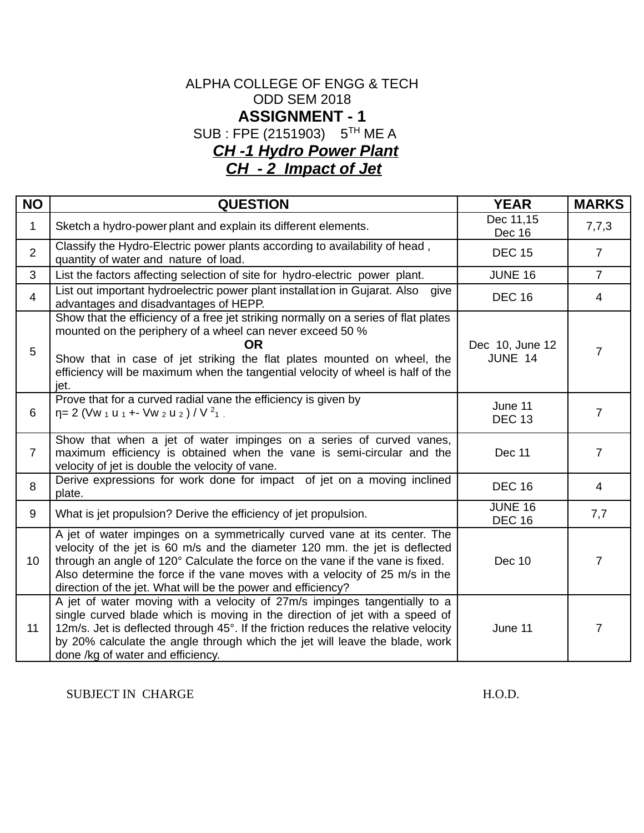## ALPHA COLLEGE OF ENGG & TECH ODD SEM 2018 **ASSIGNMENT - 1** SUB : FPE (2151903) 5TH ME A *CH -1 Hydro Power Plant CH - 2 Impact of Jet*

**NO QUESTION YEAR MARKS** 1 Sketch a hydro-power plant and explain its different elements. Dec 11,15  $\begin{array}{c|c}\n\text{Dec 11,13} \\
\text{Dec 16}\n\end{array}$  7,7,3 2 Classify the Hydro-Electric power plants according to availability of head , quantity of water and nature of load. Decay of the conditional conditions of the case of the condition of the c 3 List the factors affecting selection of site for hydro-electric power plant. | JUNE 16 | 7 4 List out important hydroelectric power plant installation in Gujarat. Also give List out important hydroelectric power plant installation in Gujarat. Also give DEC 16 DEC 16 4 5 Show that the efficiency of a free jet striking normally on a series of flat plates mounted on the periphery of a wheel can never exceed 50 % **OR** Show that in case of jet striking the flat plates mounted on wheel, the efficiency will be maximum when the tangential velocity of wheel is half of the jet. Dec 10, June 12 JUNE 14  $\vert$  7 6 Prove that for a curved radial vane the efficiency is given by η= 2 (Vw  $_1$  u  $_1$  +- Vw  $_2$  u  $_2$  ) / V  $_{}^{2}$  $_1$  . June 11  $DEC 13$  7 7 Show that when a jet of water impinges on a series of curved vanes, maximum efficiency is obtained when the vane is semi-circular and the velocity of jet is double the velocity of vane. Dec 11 1 7 8 Derive expressions for work done for impact of jet on a moving inclined plate. DEC 16 <sup>4</sup> 9 What is jet propulsion? Derive the efficiency of jet propulsion. JUNE 16  $DEC 16$  7,7 10 A jet of water impinges on a symmetrically curved vane at its center. The velocity of the jet is 60 m/s and the diameter 120 mm. the jet is deflected through an angle of 120° Calculate the force on the vane if the vane is fixed. Also determine the force if the vane moves with a velocity of 25 m/s in the direction of the jet. What will be the power and efficiency? Dec 10 | 7 11 A jet of water moving with a velocity of 27m/s impinges tangentially to a single curved blade which is moving in the direction of jet with a speed of 12m/s. Jet is deflected through 45°. If the friction reduces the relative velocity by 20% calculate the angle through which the jet will leave the blade, work done /kg of water and efficiency. June 11 7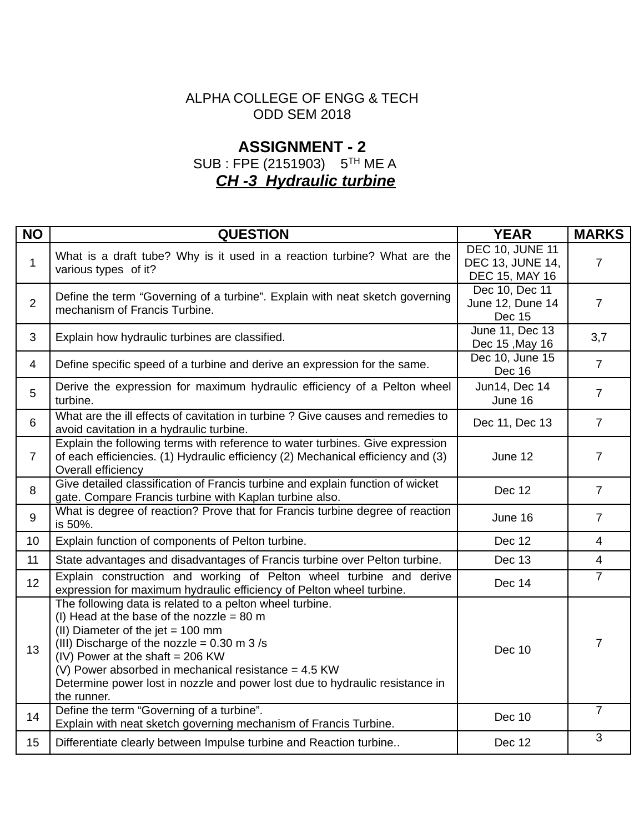## ALPHA COLLEGE OF ENGG & TECH ODD SEM 2018

# **ASSIGNMENT - 2** SUB : FPE (2151903) 5TH ME A *CH -3 Hydraulic turbine*

| <b>NO</b>      | <b>QUESTION</b>                                                                                                                                                                                                                                                                                                                                                                              | <b>YEAR</b>                                                         | <b>MARKS</b>   |
|----------------|----------------------------------------------------------------------------------------------------------------------------------------------------------------------------------------------------------------------------------------------------------------------------------------------------------------------------------------------------------------------------------------------|---------------------------------------------------------------------|----------------|
| $\mathbf{1}$   | What is a draft tube? Why is it used in a reaction turbine? What are the<br>various types of it?                                                                                                                                                                                                                                                                                             | <b>DEC 10, JUNE 11</b><br><b>DEC 13, JUNE 14,</b><br>DEC 15, MAY 16 | $\overline{7}$ |
| $\overline{2}$ | Define the term "Governing of a turbine". Explain with neat sketch governing<br>mechanism of Francis Turbine.                                                                                                                                                                                                                                                                                | Dec 10, Dec 11<br>June 12, Dune 14<br><b>Dec 15</b>                 | $\overline{7}$ |
| 3              | Explain how hydraulic turbines are classified.                                                                                                                                                                                                                                                                                                                                               | June 11, Dec 13<br>Dec 15, May 16                                   | 3,7            |
| $\overline{4}$ | Define specific speed of a turbine and derive an expression for the same.                                                                                                                                                                                                                                                                                                                    | Dec 10, June 15<br>Dec 16                                           | $\overline{7}$ |
| 5              | Derive the expression for maximum hydraulic efficiency of a Pelton wheel<br>turbine.                                                                                                                                                                                                                                                                                                         | Jun14, Dec 14<br>June 16                                            | $\overline{7}$ |
| $6\phantom{1}$ | What are the ill effects of cavitation in turbine ? Give causes and remedies to<br>avoid cavitation in a hydraulic turbine.                                                                                                                                                                                                                                                                  | Dec 11, Dec 13                                                      | $\overline{7}$ |
| $\overline{7}$ | Explain the following terms with reference to water turbines. Give expression<br>of each efficiencies. (1) Hydraulic efficiency (2) Mechanical efficiency and (3)<br>Overall efficiency                                                                                                                                                                                                      | June 12                                                             | $\overline{7}$ |
| 8              | Give detailed classification of Francis turbine and explain function of wicket<br>gate. Compare Francis turbine with Kaplan turbine also.                                                                                                                                                                                                                                                    | <b>Dec 12</b>                                                       | $\overline{7}$ |
| 9              | What is degree of reaction? Prove that for Francis turbine degree of reaction<br>is 50%.                                                                                                                                                                                                                                                                                                     | June 16                                                             | $\overline{7}$ |
| 10             | Explain function of components of Pelton turbine.                                                                                                                                                                                                                                                                                                                                            | <b>Dec 12</b>                                                       | $\overline{4}$ |
| 11             | State advantages and disadvantages of Francis turbine over Pelton turbine.                                                                                                                                                                                                                                                                                                                   | <b>Dec 13</b>                                                       | $\overline{4}$ |
| 12             | Explain construction and working of Pelton wheel turbine and derive<br>expression for maximum hydraulic efficiency of Pelton wheel turbine.                                                                                                                                                                                                                                                  | <b>Dec 14</b>                                                       | $\overline{7}$ |
| 13             | The following data is related to a pelton wheel turbine.<br>(I) Head at the base of the nozzle = 80 m<br>(II) Diameter of the jet $= 100$ mm<br>(III) Discharge of the nozzle = $0.30$ m 3 /s<br>(IV) Power at the shaft = $206$ KW<br>(V) Power absorbed in mechanical resistance = $4.5$ KW<br>Determine power lost in nozzle and power lost due to hydraulic resistance in<br>the runner. | <b>Dec 10</b>                                                       | $\overline{7}$ |
| 14             | Define the term "Governing of a turbine".<br>Explain with neat sketch governing mechanism of Francis Turbine.                                                                                                                                                                                                                                                                                | <b>Dec 10</b>                                                       | $\overline{7}$ |
| 15             | Differentiate clearly between Impulse turbine and Reaction turbine                                                                                                                                                                                                                                                                                                                           | <b>Dec 12</b>                                                       | 3              |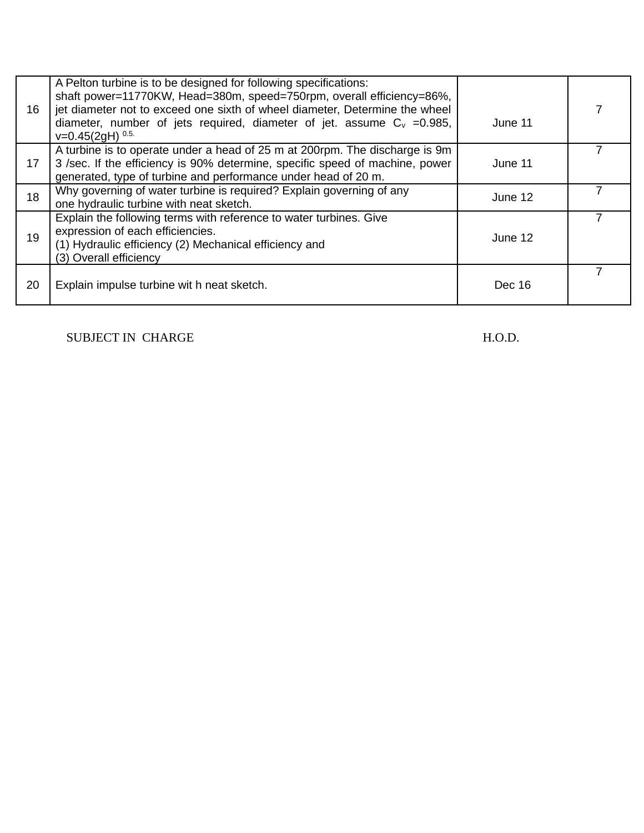| 16 | A Pelton turbine is to be designed for following specifications:<br>shaft power=11770KW, Head=380m, speed=750rpm, overall efficiency=86%,<br>jet diameter not to exceed one sixth of wheel diameter, Determine the wheel<br>diameter, number of jets required, diameter of jet. assume $C_v = 0.985$ ,<br>$v=0.45(2qH)^{0.5}$ | June 11 |  |
|----|-------------------------------------------------------------------------------------------------------------------------------------------------------------------------------------------------------------------------------------------------------------------------------------------------------------------------------|---------|--|
| 17 | A turbine is to operate under a head of 25 m at 200rpm. The discharge is 9m<br>3 /sec. If the efficiency is 90% determine, specific speed of machine, power<br>generated, type of turbine and performance under head of 20 m.                                                                                                 | June 11 |  |
| 18 | Why governing of water turbine is required? Explain governing of any<br>one hydraulic turbine with neat sketch.                                                                                                                                                                                                               | June 12 |  |
| 19 | Explain the following terms with reference to water turbines. Give<br>expression of each efficiencies.<br>(1) Hydraulic efficiency (2) Mechanical efficiency and<br>(3) Overall efficiency                                                                                                                                    | June 12 |  |
| 20 | Explain impulse turbine wit h neat sketch.                                                                                                                                                                                                                                                                                    | Dec 16  |  |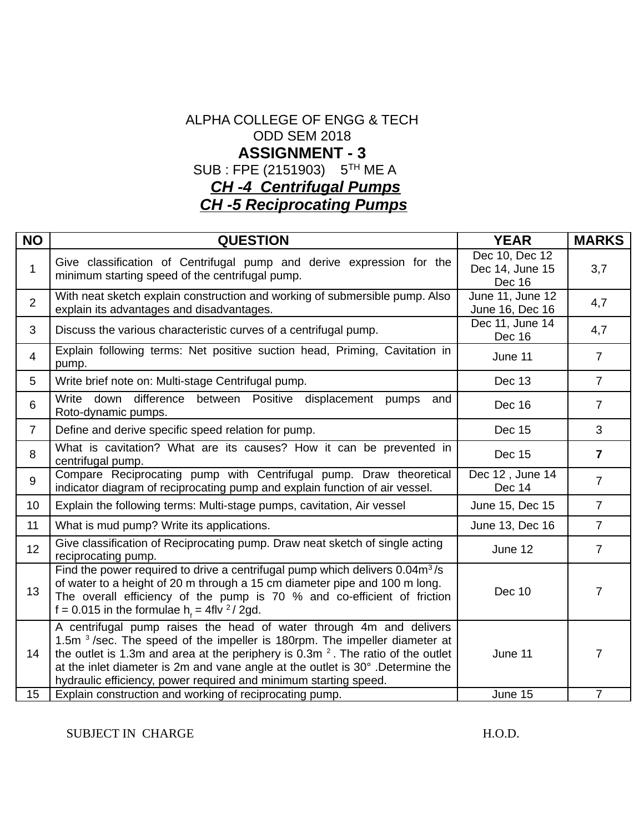# ALPHA COLLEGE OF ENGG & TECH ODD SEM 2018 **ASSIGNMENT - 3** SUB : FPE (2151903) 5TH ME A *CH -4 Centrifugal Pumps CH -5 Reciprocating Pumps*

| <b>NO</b>      | <b>QUESTION</b>                                                                                                                                                                                                                                                                                                                                                                                | <b>YEAR</b>                                 | <b>MARKS</b>   |
|----------------|------------------------------------------------------------------------------------------------------------------------------------------------------------------------------------------------------------------------------------------------------------------------------------------------------------------------------------------------------------------------------------------------|---------------------------------------------|----------------|
| $\mathbf 1$    | Give classification of Centrifugal pump and derive expression for the<br>minimum starting speed of the centrifugal pump.                                                                                                                                                                                                                                                                       | Dec 10, Dec 12<br>Dec 14, June 15<br>Dec 16 | 3,7            |
| $\overline{2}$ | With neat sketch explain construction and working of submersible pump. Also<br>explain its advantages and disadvantages.                                                                                                                                                                                                                                                                       | June 11, June 12<br>June 16, Dec 16         | 4,7            |
| 3              | Discuss the various characteristic curves of a centrifugal pump.                                                                                                                                                                                                                                                                                                                               | Dec 11, June 14<br><b>Dec 16</b>            | 4,7            |
| 4              | Explain following terms: Net positive suction head, Priming, Cavitation in<br>pump.                                                                                                                                                                                                                                                                                                            | June 11                                     | $\overline{7}$ |
| 5              | Write brief note on: Multi-stage Centrifugal pump.                                                                                                                                                                                                                                                                                                                                             | Dec 13                                      | $\overline{7}$ |
| 6              | difference between Positive displacement pumps<br>Write<br>down<br>and<br>Roto-dynamic pumps.                                                                                                                                                                                                                                                                                                  | <b>Dec 16</b>                               | $\overline{7}$ |
| $\overline{7}$ | Define and derive specific speed relation for pump.                                                                                                                                                                                                                                                                                                                                            | <b>Dec 15</b>                               | 3              |
| 8              | What is cavitation? What are its causes? How it can be prevented in<br>centrifugal pump.                                                                                                                                                                                                                                                                                                       | <b>Dec 15</b>                               | $\overline{7}$ |
| 9              | Compare Reciprocating pump with Centrifugal pump. Draw theoretical<br>indicator diagram of reciprocating pump and explain function of air vessel.                                                                                                                                                                                                                                              | Dec 12, June 14<br>Dec 14                   | $\overline{7}$ |
| 10             | Explain the following terms: Multi-stage pumps, cavitation, Air vessel                                                                                                                                                                                                                                                                                                                         | June 15, Dec 15                             | $\overline{7}$ |
| 11             | What is mud pump? Write its applications.                                                                                                                                                                                                                                                                                                                                                      | June 13, Dec 16                             | $\overline{7}$ |
| 12             | Give classification of Reciprocating pump. Draw neat sketch of single acting<br>reciprocating pump.                                                                                                                                                                                                                                                                                            | June 12                                     | $\overline{7}$ |
| 13             | Find the power required to drive a centrifugal pump which delivers $0.04m^3/s$<br>of water to a height of 20 m through a 15 cm diameter pipe and 100 m long.<br>The overall efficiency of the pump is 70 % and co-efficient of friction<br>f = 0.015 in the formulae $hf = 4$ flv <sup>2</sup> /2gd.                                                                                           | <b>Dec 10</b>                               | $\overline{7}$ |
| 14             | A centrifugal pump raises the head of water through 4m and delivers<br>1.5m $3$ /sec. The speed of the impeller is 180rpm. The impeller diameter at<br>the outlet is 1.3m and area at the periphery is $0.3m2$ . The ratio of the outlet<br>at the inlet diameter is 2m and vane angle at the outlet is 30°. Determine the<br>hydraulic efficiency, power required and minimum starting speed. | June 11                                     | 7              |
| 15             | Explain construction and working of reciprocating pump.                                                                                                                                                                                                                                                                                                                                        | June 15                                     | $\overline{7}$ |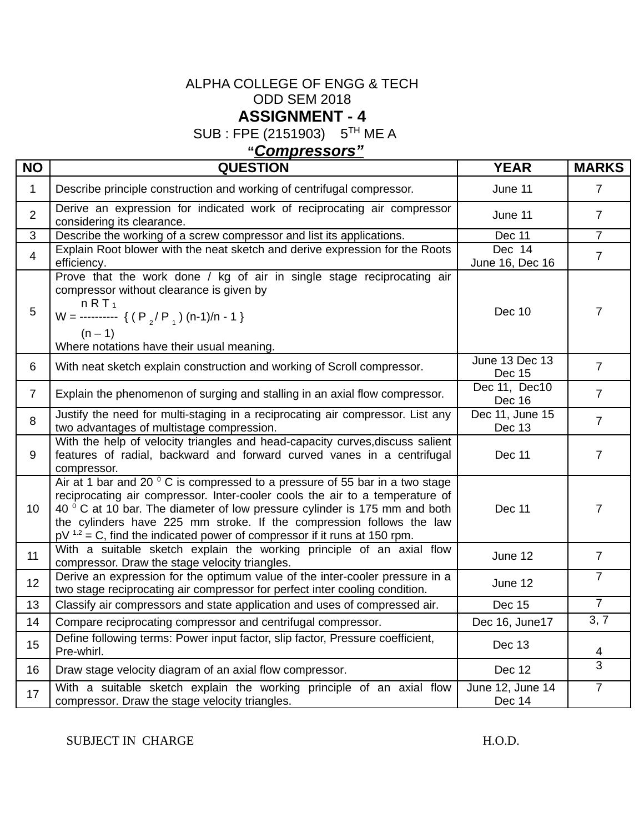## ALPHA COLLEGE OF ENGG & TECH ODD SEM 2018 **ASSIGNMENT - 4**

SUB : FPE (2151903) 5TH ME A

# **"***Compressors"*

| <b>NO</b>      | <b>QUESTION</b>                                                                                                                                                                                                                                                                                                                                                                                             | <b>YEAR</b>                       | <b>MARKS</b>   |
|----------------|-------------------------------------------------------------------------------------------------------------------------------------------------------------------------------------------------------------------------------------------------------------------------------------------------------------------------------------------------------------------------------------------------------------|-----------------------------------|----------------|
| $\mathbf{1}$   | Describe principle construction and working of centrifugal compressor.                                                                                                                                                                                                                                                                                                                                      | June 11                           | $\overline{7}$ |
| $\overline{2}$ | Derive an expression for indicated work of reciprocating air compressor<br>considering its clearance.                                                                                                                                                                                                                                                                                                       | June 11                           | $\overline{7}$ |
| 3              | Describe the working of a screw compressor and list its applications.                                                                                                                                                                                                                                                                                                                                       | <b>Dec 11</b>                     | $\overline{7}$ |
| $\overline{4}$ | Explain Root blower with the neat sketch and derive expression for the Roots<br>efficiency.                                                                                                                                                                                                                                                                                                                 | Dec 14<br>June 16, Dec 16         | $\overline{7}$ |
| 5              | Prove that the work done / kg of air in single stage reciprocating air<br>compressor without clearance is given by<br>nRT <sub>1</sub><br>W = ---------- { $(P_2/P_1)$ (n-1)/n - 1 }<br>$(n - 1)$<br>Where notations have their usual meaning.                                                                                                                                                              | <b>Dec 10</b>                     | $\overline{7}$ |
| 6              | With neat sketch explain construction and working of Scroll compressor.                                                                                                                                                                                                                                                                                                                                     | June 13 Dec 13<br><b>Dec 15</b>   | $\overline{7}$ |
| $\overline{7}$ | Explain the phenomenon of surging and stalling in an axial flow compressor.                                                                                                                                                                                                                                                                                                                                 | Dec 11, Dec10<br><b>Dec 16</b>    | $\overline{7}$ |
| 8              | Justify the need for multi-staging in a reciprocating air compressor. List any<br>two advantages of multistage compression.                                                                                                                                                                                                                                                                                 | Dec 11, June 15<br>Dec 13         | $\overline{7}$ |
| 9              | With the help of velocity triangles and head-capacity curves, discuss salient<br>features of radial, backward and forward curved vanes in a centrifugal<br>compressor.                                                                                                                                                                                                                                      | <b>Dec 11</b>                     | $\overline{7}$ |
| 10             | Air at 1 bar and 20 $\degree$ C is compressed to a pressure of 55 bar in a two stage<br>reciprocating air compressor. Inter-cooler cools the air to a temperature of<br>40 ° C at 10 bar. The diameter of low pressure cylinder is 175 mm and both<br>the cylinders have 225 mm stroke. If the compression follows the law<br>$pV^{1.2}$ = C, find the indicated power of compressor if it runs at 150 rpm. | <b>Dec 11</b>                     | $\overline{7}$ |
| 11             | With a suitable sketch explain the working principle of an axial flow<br>compressor. Draw the stage velocity triangles.                                                                                                                                                                                                                                                                                     | June 12                           | $\overline{7}$ |
| 12             | Derive an expression for the optimum value of the inter-cooler pressure in a<br>two stage reciprocating air compressor for perfect inter cooling condition.                                                                                                                                                                                                                                                 | June 12                           | $\overline{7}$ |
| 13             | Classify air compressors and state application and uses of compressed air.                                                                                                                                                                                                                                                                                                                                  | <b>Dec 15</b>                     | $\overline{7}$ |
| 14             | Compare reciprocating compressor and centrifugal compressor.                                                                                                                                                                                                                                                                                                                                                | Dec 16, June17                    | 3, 7           |
| 15             | Define following terms: Power input factor, slip factor, Pressure coefficient,<br>Pre-whirl.                                                                                                                                                                                                                                                                                                                | Dec 13                            | 4              |
| 16             | Draw stage velocity diagram of an axial flow compressor.                                                                                                                                                                                                                                                                                                                                                    | <b>Dec 12</b>                     | $\overline{3}$ |
| 17             | With a suitable sketch explain the working principle of an axial flow<br>compressor. Draw the stage velocity triangles.                                                                                                                                                                                                                                                                                     | June 12, June 14<br><b>Dec 14</b> | $\overline{7}$ |